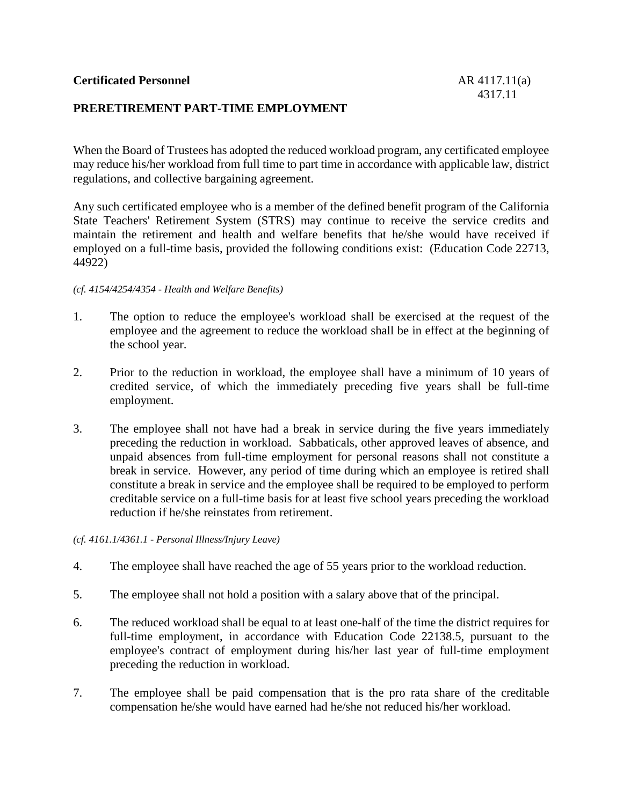# **PRERETIREMENT PART-TIME EMPLOYMENT**

When the Board of Trustees has adopted the reduced workload program, any certificated employee may reduce his/her workload from full time to part time in accordance with applicable law, district regulations, and collective bargaining agreement.

Any such certificated employee who is a member of the defined benefit program of the California State Teachers' Retirement System (STRS) may continue to receive the service credits and maintain the retirement and health and welfare benefits that he/she would have received if employed on a full-time basis, provided the following conditions exist: (Education Code 22713, 44922)

#### *(cf. 4154/4254/4354 - Health and Welfare Benefits)*

- 1. The option to reduce the employee's workload shall be exercised at the request of the employee and the agreement to reduce the workload shall be in effect at the beginning of the school year.
- 2. Prior to the reduction in workload, the employee shall have a minimum of 10 years of credited service, of which the immediately preceding five years shall be full-time employment.
- 3. The employee shall not have had a break in service during the five years immediately preceding the reduction in workload. Sabbaticals, other approved leaves of absence, and unpaid absences from full-time employment for personal reasons shall not constitute a break in service. However, any period of time during which an employee is retired shall constitute a break in service and the employee shall be required to be employed to perform creditable service on a full-time basis for at least five school years preceding the workload reduction if he/she reinstates from retirement.

*(cf. 4161.1/4361.1 - Personal Illness/Injury Leave)*

- 4. The employee shall have reached the age of 55 years prior to the workload reduction.
- 5. The employee shall not hold a position with a salary above that of the principal.
- 6. The reduced workload shall be equal to at least one-half of the time the district requires for full-time employment, in accordance with Education Code 22138.5, pursuant to the employee's contract of employment during his/her last year of full-time employment preceding the reduction in workload.
- 7. The employee shall be paid compensation that is the pro rata share of the creditable compensation he/she would have earned had he/she not reduced his/her workload.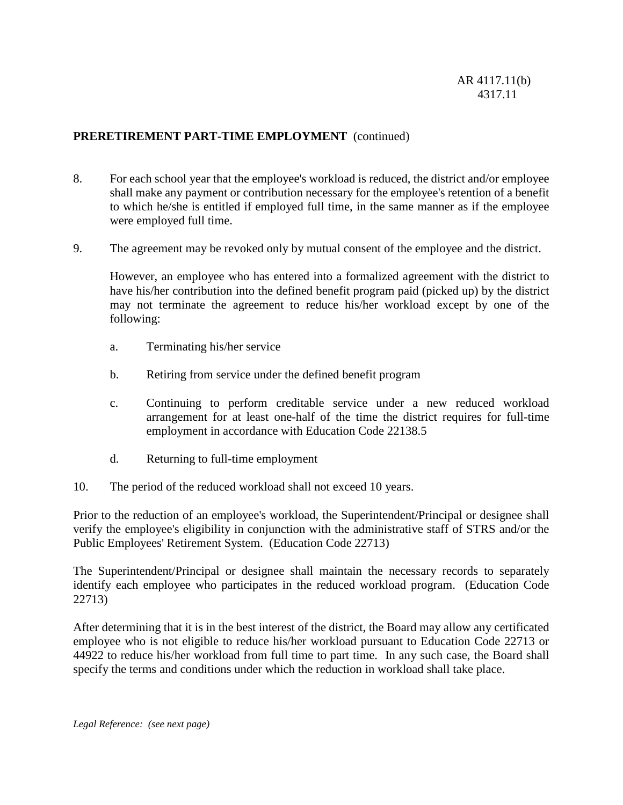# **PRERETIREMENT PART-TIME EMPLOYMENT** (continued)

- 8. For each school year that the employee's workload is reduced, the district and/or employee shall make any payment or contribution necessary for the employee's retention of a benefit to which he/she is entitled if employed full time, in the same manner as if the employee were employed full time.
- 9. The agreement may be revoked only by mutual consent of the employee and the district.

However, an employee who has entered into a formalized agreement with the district to have his/her contribution into the defined benefit program paid (picked up) by the district may not terminate the agreement to reduce his/her workload except by one of the following:

- a. Terminating his/her service
- b. Retiring from service under the defined benefit program
- c. Continuing to perform creditable service under a new reduced workload arrangement for at least one-half of the time the district requires for full-time employment in accordance with Education Code 22138.5
- d. Returning to full-time employment
- 10. The period of the reduced workload shall not exceed 10 years.

Prior to the reduction of an employee's workload, the Superintendent/Principal or designee shall verify the employee's eligibility in conjunction with the administrative staff of STRS and/or the Public Employees' Retirement System. (Education Code 22713)

The Superintendent/Principal or designee shall maintain the necessary records to separately identify each employee who participates in the reduced workload program. (Education Code 22713)

After determining that it is in the best interest of the district, the Board may allow any certificated employee who is not eligible to reduce his/her workload pursuant to Education Code 22713 or 44922 to reduce his/her workload from full time to part time. In any such case, the Board shall specify the terms and conditions under which the reduction in workload shall take place.